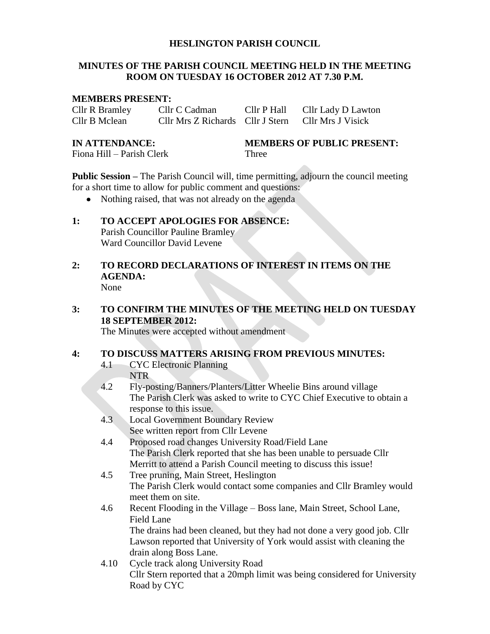#### **HESLINGTON PARISH COUNCIL**

#### **MINUTES OF THE PARISH COUNCIL MEETING HELD IN THE MEETING ROOM ON TUESDAY 16 OCTOBER 2012 AT 7.30 P.M.**

#### **MEMBERS PRESENT:**

Cllr R Bramley Cllr C Cadman Cllr P Hall Cllr Lady D Lawton Cllr B Mclean Cllr Mrs Z Richards Cllr J Stern Cllr Mrs J Visick

Fiona Hill – Parish Clerk Three

**IN ATTENDANCE: MEMBERS OF PUBLIC PRESENT:**

**Public Session –** The Parish Council will, time permitting, adjourn the council meeting for a short time to allow for public comment and questions:

• Nothing raised, that was not already on the agenda

#### **1: TO ACCEPT APOLOGIES FOR ABSENCE:** Parish Councillor Pauline Bramley Ward Councillor David Levene

**2: TO RECORD DECLARATIONS OF INTEREST IN ITEMS ON THE AGENDA:** None

### **3: TO CONFIRM THE MINUTES OF THE MEETING HELD ON TUESDAY 18 SEPTEMBER 2012:**

The Minutes were accepted without amendment

#### **4: TO DISCUSS MATTERS ARISING FROM PREVIOUS MINUTES:**

- 4.1 CYC Electronic Planning NTR
- 4.2 Fly-posting/Banners/Planters/Litter Wheelie Bins around village The Parish Clerk was asked to write to CYC Chief Executive to obtain a response to this issue.
- 4.3 Local Government Boundary Review See written report from Cllr Levene
- 4.4 Proposed road changes University Road/Field Lane The Parish Clerk reported that she has been unable to persuade Cllr Merritt to attend a Parish Council meeting to discuss this issue!
- 4.5 Tree pruning, Main Street, Heslington The Parish Clerk would contact some companies and Cllr Bramley would meet them on site.
- 4.6 Recent Flooding in the Village Boss lane, Main Street, School Lane, Field Lane The drains had been cleaned, but they had not done a very good job. Cllr Lawson reported that University of York would assist with cleaning the
	- drain along Boss Lane.
- 4.10 Cycle track along University Road Cllr Stern reported that a 20mph limit was being considered for University Road by CYC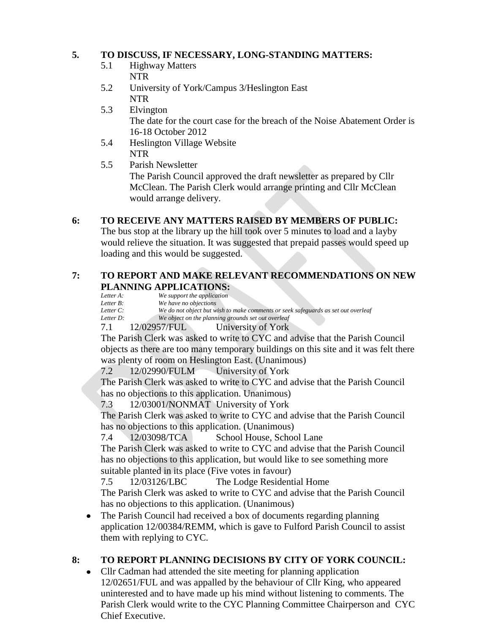### **5. TO DISCUSS, IF NECESSARY, LONG-STANDING MATTERS:**

- 5.1 Highway Matters NTR
- 5.2 University of York/Campus 3/Heslington East NTR
- 5.3 Elvington The date for the court case for the breach of the Noise Abatement Order is 16-18 October 2012
- 5.4 Heslington Village Website NTR
- 5.5 Parish Newsletter The Parish Council approved the draft newsletter as prepared by Cllr McClean. The Parish Clerk would arrange printing and Cllr McClean would arrange delivery.

## **6: TO RECEIVE ANY MATTERS RAISED BY MEMBERS OF PUBLIC:**

The bus stop at the library up the hill took over 5 minutes to load and a layby would relieve the situation. It was suggested that prepaid passes would speed up loading and this would be suggested.

# **7: TO REPORT AND MAKE RELEVANT RECOMMENDATIONS ON NEW PLANNING APPLICATIONS:**<br>Letter A: We support the application

*Letter A: We support the application* We have no objections

- *Letter C: We do not object but wish to make comments or seek safeguards as set out overleaf*
- *Letter D: We object on the planning grounds set out overleaf*

#### 7.1 12/02957/FUL University of York

The Parish Clerk was asked to write to CYC and advise that the Parish Council objects as there are too many temporary buildings on this site and it was felt there was plenty of room on Heslington East. (Unanimous)

7.2 12/02990/FULM University of York

The Parish Clerk was asked to write to CYC and advise that the Parish Council has no objections to this application. Unanimous)

7.3 12/03001/NONMAT University of York

The Parish Clerk was asked to write to CYC and advise that the Parish Council has no objections to this application. (Unanimous)

7.4 12/03098/TCA School House, School Lane

The Parish Clerk was asked to write to CYC and advise that the Parish Council has no objections to this application, but would like to see something more suitable planted in its place (Five votes in favour)

7.5 12/03126/LBC The Lodge Residential Home The Parish Clerk was asked to write to CYC and advise that the Parish Council has no objections to this application. (Unanimous)

The Parish Council had received a box of documents regarding planning  $\bullet$ application 12/00384/REMM, which is gave to Fulford Parish Council to assist them with replying to CYC.

## **8: TO REPORT PLANNING DECISIONS BY CITY OF YORK COUNCIL:**

Cllr Cadman had attended the site meeting for planning application  $\bullet$ 12/02651/FUL and was appalled by the behaviour of Cllr King, who appeared uninterested and to have made up his mind without listening to comments. The Parish Clerk would write to the CYC Planning Committee Chairperson and CYC Chief Executive.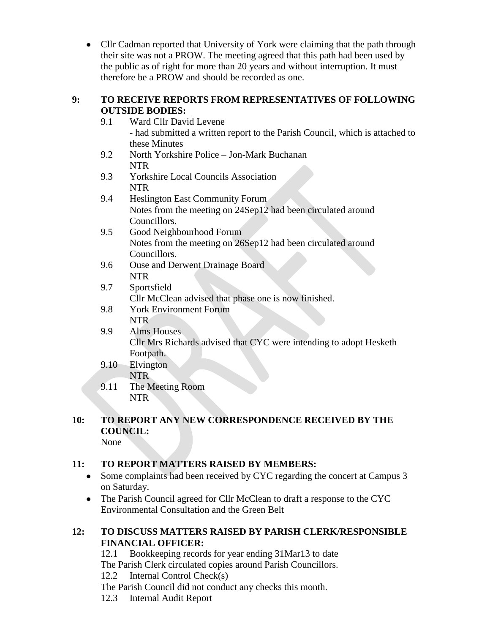• Cllr Cadman reported that University of York were claiming that the path through their site was not a PROW. The meeting agreed that this path had been used by the public as of right for more than 20 years and without interruption. It must therefore be a PROW and should be recorded as one.

### **9: TO RECEIVE REPORTS FROM REPRESENTATIVES OF FOLLOWING OUTSIDE BODIES:**

- 9.1 Ward Cllr David Levene - had submitted a written report to the Parish Council, which is attached to these Minutes
- 9.2 North Yorkshire Police Jon-Mark Buchanan NTR
- 9.3 Yorkshire Local Councils Association NTR
- 9.4 Heslington East Community Forum Notes from the meeting on 24Sep12 had been circulated around Councillors.
- 9.5 Good Neighbourhood Forum Notes from the meeting on 26Sep12 had been circulated around Councillors.
- 9.6 Ouse and Derwent Drainage Board NTR

## 9.7 Sportsfield Cllr McClean advised that phase one is now finished.

9.8 York Environment Forum NTR

#### 9.9 Alms Houses Cllr Mrs Richards advised that CYC were intending to adopt Hesketh Footpath.

- 9.10 Elvington NTR
- 9.11 The Meeting Room NTR

#### **10: TO REPORT ANY NEW CORRESPONDENCE RECEIVED BY THE COUNCIL:** None

## **11: TO REPORT MATTERS RAISED BY MEMBERS:**

- Some complaints had been received by CYC regarding the concert at Campus 3 on Saturday.
- The Parish Council agreed for Cllr McClean to draft a response to the CYC Environmental Consultation and the Green Belt

## **12: TO DISCUSS MATTERS RAISED BY PARISH CLERK/RESPONSIBLE FINANCIAL OFFICER:**

12.1 Bookkeeping records for year ending 31Mar13 to date The Parish Clerk circulated copies around Parish Councillors. 12.2 Internal Control Check(s)

The Parish Council did not conduct any checks this month.

12.3 Internal Audit Report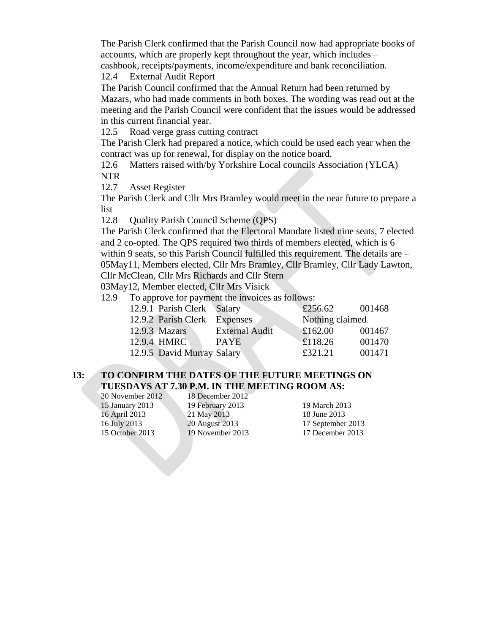The Parish Clerk confirmed that the Parish Council now had appropriate books of accounts, which are properly kept throughout the year, which includes – cashbook, receipts/payments, income/expenditure and bank reconciliation.

12.4 External Audit Report

The Parish Council confirmed that the Annual Return had been returned by Mazars, who had made comments in both boxes. The wording was read out at the meeting and the Parish Council were confident that the issues would be addressed in this current financial year.

12.5 Road verge grass cutting contract

The Parish Clerk had prepared a notice, which could be used each year when the contract was up for renewal, for display on the notice board.

12.6 Matters raised with/by Yorkshire Local councils Association (YLCA) NTR

12.7 Asset Register

The Parish Clerk and Cllr Mrs Bramley would meet in the near future to prepare a list

12.8 Quality Parish Council Scheme (QPS)

The Parish Clerk confirmed that the Electoral Mandate listed nine seats, 7 elected and 2 co-opted. The QPS required two thirds of members elected, which is 6 within 9 seats, so this Parish Council fulfilled this requirement. The details are – 05May11, Members elected, Cllr Mrs Bramley, Cllr Bramley, Cllr Lady Lawton, Cllr McClean, Cllr Mrs Richards and Cllr Stern

03May12, Member elected, Cllr Mrs Visick

12.9 To approve for payment the invoices as follows:

| 12.9.1 Parish Clerk Salary   |                       | £256.62         | 001468 |
|------------------------------|-----------------------|-----------------|--------|
| 12.9.2 Parish Clerk Expenses |                       | Nothing claimed |        |
| $12.9.3$ Mazars              | <b>External Audit</b> | £162.00         | 001467 |
| 12.9.4 HMRC                  | <b>PAYE</b>           | £118.26         | 001470 |
| 12.9.5 David Murray Salary   |                       | £321.21         | 001471 |

#### **13: TO CONFIRM THE DATES OF THE FUTURE MEETINGS ON TUESDAYS AT 7.30 P.M. IN THE MEETING ROOM AS:**

20 November 2012 18 December 2012

15 January 2013 19 February 2013 19 March 2013 16 April 2013 21 May 2013 18 June 2013 16 July 2013 20 August 2013 17 September 2013 15 October 2013 19 November 2013 17 December 2013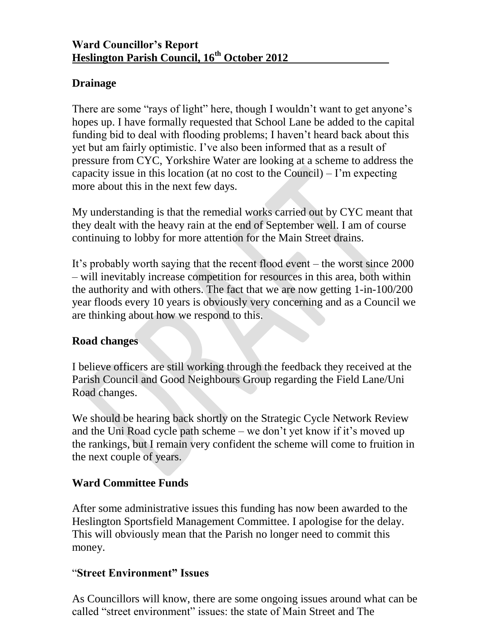# **Drainage**

There are some "rays of light" here, though I wouldn't want to get anyone's hopes up. I have formally requested that School Lane be added to the capital funding bid to deal with flooding problems; I haven't heard back about this yet but am fairly optimistic. I've also been informed that as a result of pressure from CYC, Yorkshire Water are looking at a scheme to address the capacity issue in this location (at no cost to the Council) – I'm expecting more about this in the next few days.

My understanding is that the remedial works carried out by CYC meant that they dealt with the heavy rain at the end of September well. I am of course continuing to lobby for more attention for the Main Street drains.

It's probably worth saying that the recent flood event – the worst since 2000 – will inevitably increase competition for resources in this area, both within the authority and with others. The fact that we are now getting 1-in-100/200 year floods every 10 years is obviously very concerning and as a Council we are thinking about how we respond to this.

## **Road changes**

I believe officers are still working through the feedback they received at the Parish Council and Good Neighbours Group regarding the Field Lane/Uni Road changes.

We should be hearing back shortly on the Strategic Cycle Network Review and the Uni Road cycle path scheme – we don't yet know if it's moved up the rankings, but I remain very confident the scheme will come to fruition in the next couple of years.

## **Ward Committee Funds**

After some administrative issues this funding has now been awarded to the Heslington Sportsfield Management Committee. I apologise for the delay. This will obviously mean that the Parish no longer need to commit this money.

## "**Street Environment" Issues**

As Councillors will know, there are some ongoing issues around what can be called "street environment" issues: the state of Main Street and The